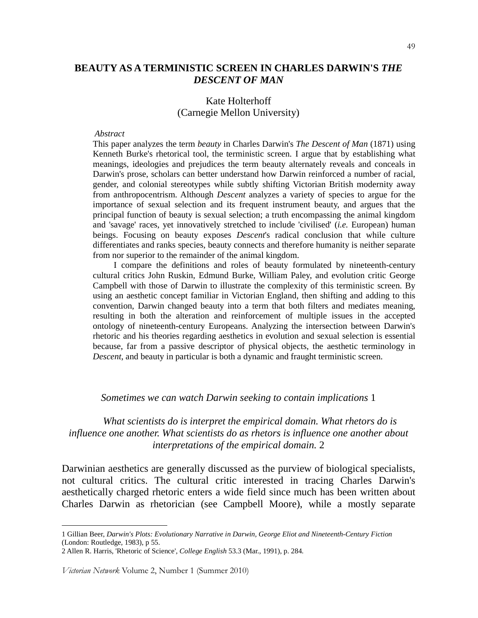# **BEAUTY AS A TERMINISTIC SCREEN IN CHARLES DARWIN'S** *THE DESCENT OF MAN*

### Kate Holterhoff (Carnegie Mellon University)

#### *Abstract*

This paper analyzes the term *beauty* in Charles Darwin's *The Descent of Man* (1871) using Kenneth Burke's rhetorical tool, the terministic screen. I argue that by establishing what meanings, ideologies and prejudices the term beauty alternately reveals and conceals in Darwin's prose, scholars can better understand how Darwin reinforced a number of racial, gender, and colonial stereotypes while subtly shifting Victorian British modernity away from anthropocentrism. Although *Descent* analyzes a variety of species to argue for the importance of sexual selection and its frequent instrument beauty, and argues that the principal function of beauty is sexual selection; a truth encompassing the animal kingdom and 'savage' races, yet innovatively stretched to include 'civilised' (*i.e.* European) human beings. Focusing on beauty exposes *Descent*'s radical conclusion that while culture differentiates and ranks species, beauty connects and therefore humanity is neither separate from nor superior to the remainder of the animal kingdom.

 I compare the definitions and roles of beauty formulated by nineteenth-century cultural critics John Ruskin, Edmund Burke, William Paley, and evolution critic George Campbell with those of Darwin to illustrate the complexity of this terministic screen. By using an aesthetic concept familiar in Victorian England, then shifting and adding to this convention, Darwin changed beauty into a term that both filters and mediates meaning, resulting in both the alteration and reinforcement of multiple issues in the accepted ontology of nineteenth-century Europeans. Analyzing the intersection between Darwin's rhetoric and his theories regarding aesthetics in evolution and sexual selection is essential because, far from a passive descriptor of physical objects, the aesthetic terminology in *Descent*, and beauty in particular is both a dynamic and fraught terministic screen.

#### *Sometimes we can watch Darwin seeking to contain implications* 1

 *What scientists do is interpret the empirical domain. What rhetors do is influence one another. What scientists do as rhetors is influence one another about interpretations of the empirical domain.* 2

Darwinian aesthetics are generally discussed as the purview of biological specialists, not cultural critics. The cultural critic interested in tracing Charles Darwin's aesthetically charged rhetoric enters a wide field since much has been written about Charles Darwin as rhetorician (see Campbell Moore), while a mostly separate

 $\ddot{\phantom{a}}$ 

<sup>1</sup> Gillian Beer, *Darwin's Plots: Evolutionary Narrative in Darwin, George Eliot and Nineteenth-Century Fiction* (London: Routledge, 1983), p 55.

<sup>2</sup> Allen R. Harris, 'Rhetoric of Science', *College English* 53.3 (Mar., 1991), p. 284*.*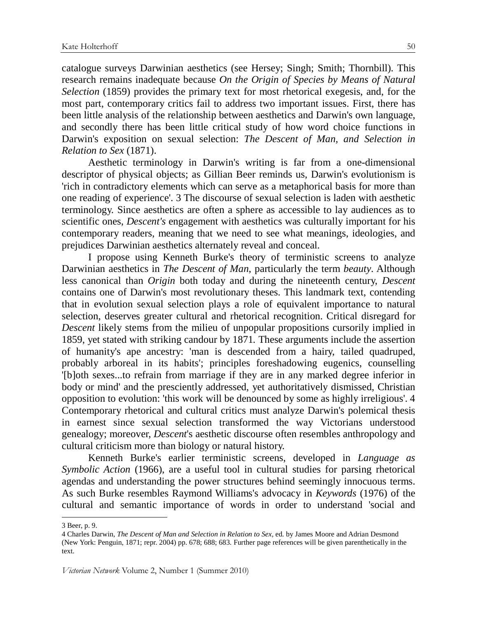catalogue surveys Darwinian aesthetics (see Hersey; Singh; Smith; Thornbill). This research remains inadequate because *On the Origin of Species by Means of Natural Selection* (1859) provides the primary text for most rhetorical exegesis, and, for the most part, contemporary critics fail to address two important issues. First, there has been little analysis of the relationship between aesthetics and Darwin's own language, and secondly there has been little critical study of how word choice functions in Darwin's exposition on sexual selection: *The Descent of Man, and Selection in Relation to Sex* (1871).

Aesthetic terminology in Darwin's writing is far from a one-dimensional descriptor of physical objects; as Gillian Beer reminds us, Darwin's evolutionism is 'rich in contradictory elements which can serve as a metaphorical basis for more than one reading of experience'. 3 The discourse of sexual selection is laden with aesthetic terminology. Since aesthetics are often a sphere as accessible to lay audiences as to scientific ones, *Descent's* engagement with aesthetics was culturally important for his contemporary readers, meaning that we need to see what meanings, ideologies, and prejudices Darwinian aesthetics alternately reveal and conceal.

I propose using Kenneth Burke's theory of terministic screens to analyze Darwinian aesthetics in *The Descent of Man*, particularly the term *beauty*. Although less canonical than *Origin* both today and during the nineteenth century, *Descent* contains one of Darwin's most revolutionary theses. This landmark text, contending that in evolution sexual selection plays a role of equivalent importance to natural selection, deserves greater cultural and rhetorical recognition. Critical disregard for *Descent* likely stems from the milieu of unpopular propositions cursorily implied in 1859, yet stated with striking candour by 1871*.* These arguments include the assertion of humanity's ape ancestry: 'man is descended from a hairy, tailed quadruped, probably arboreal in its habits'; principles foreshadowing eugenics, counselling '[b]oth sexes...to refrain from marriage if they are in any marked degree inferior in body or mind' and the presciently addressed, yet authoritatively dismissed, Christian opposition to evolution: 'this work will be denounced by some as highly irreligious'. 4 Contemporary rhetorical and cultural critics must analyze Darwin's polemical thesis in earnest since sexual selection transformed the way Victorians understood genealogy; moreover, *Descent*'s aesthetic discourse often resembles anthropology and cultural criticism more than biology or natural history.

Kenneth Burke's earlier terministic screens, developed in *Language as Symbolic Action* (1966), are a useful tool in cultural studies for parsing rhetorical agendas and understanding the power structures behind seemingly innocuous terms. As such Burke resembles Raymond Williams's advocacy in *Keywords* (1976) of the cultural and semantic importance of words in order to understand 'social and

<sup>3</sup> Beer, p. 9.

<sup>4</sup> Charles Darwin, *The Descent of Man and Selection in Relation to Sex,* ed. by James Moore and Adrian Desmond (New York: Penguin, 1871; repr. 2004) pp. 678; 688; 683. Further page references will be given parenthetically in the text.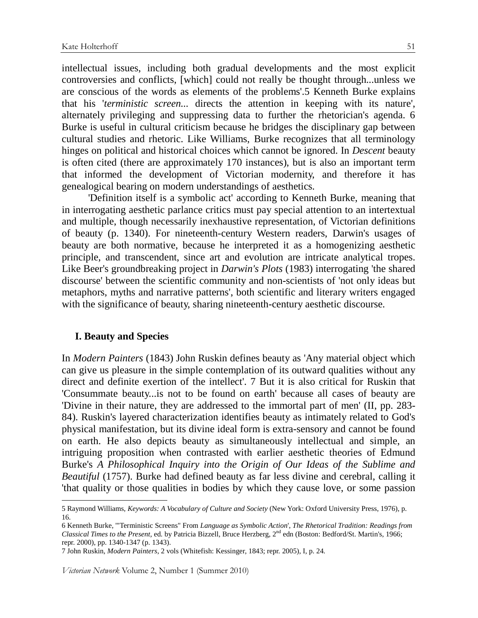intellectual issues, including both gradual developments and the most explicit controversies and conflicts, [which] could not really be thought through...unless we are conscious of the words as elements of the problems'.5 Kenneth Burke explains that his '*terministic screen...* directs the attention in keeping with its nature', alternately privileging and suppressing data to further the rhetorician's agenda. 6 Burke is useful in cultural criticism because he bridges the disciplinary gap between cultural studies and rhetoric. Like Williams, Burke recognizes that all terminology hinges on political and historical choices which cannot be ignored. In *Descent* beauty is often cited (there are approximately 170 instances), but is also an important term that informed the development of Victorian modernity, and therefore it has genealogical bearing on modern understandings of aesthetics.

'Definition itself is a symbolic act' according to Kenneth Burke, meaning that in interrogating aesthetic parlance critics must pay special attention to an intertextual and multiple, though necessarily inexhaustive representation, of Victorian definitions of beauty (p. 1340). For nineteenth-century Western readers, Darwin's usages of beauty are both normative, because he interpreted it as a homogenizing aesthetic principle, and transcendent, since art and evolution are intricate analytical tropes. Like Beer's groundbreaking project in *Darwin's Plots* (1983) interrogating 'the shared discourse' between the scientific community and non-scientists of 'not only ideas but metaphors, myths and narrative patterns', both scientific and literary writers engaged with the significance of beauty, sharing nineteenth-century aesthetic discourse.

### **I. Beauty and Species**

 $\overline{a}$ 

In *Modern Painters* (1843) John Ruskin defines beauty as 'Any material object which can give us pleasure in the simple contemplation of its outward qualities without any direct and definite exertion of the intellect'. 7 But it is also critical for Ruskin that 'Consummate beauty...is not to be found on earth' because all cases of beauty are 'Divine in their nature, they are addressed to the immortal part of men' (II, pp. 283- 84). Ruskin's layered characterization identifies beauty as intimately related to God's physical manifestation, but its divine ideal form is extra-sensory and cannot be found on earth. He also depicts beauty as simultaneously intellectual and simple, an intriguing proposition when contrasted with earlier aesthetic theories of Edmund Burke's *A Philosophical Inquiry into the Origin of Our Ideas of the Sublime and Beautiful* (1757). Burke had defined beauty as far less divine and cerebral, calling it 'that quality or those qualities in bodies by which they cause love, or some passion

<sup>5</sup> Raymond Williams, *Keywords: A Vocabulary of Culture and Society* (New York: Oxford University Press, 1976), p. 16.

<sup>6</sup> Kenneth Burke, '"Terministic Screens" From *Language as Symbolic Action*', *The Rhetorical Tradition: Readings from Classical Times to the Present*, ed. by Patricia Bizzell, Bruce Herzberg, 2nd edn (Boston: Bedford/St. Martin's, 1966; repr. 2000), pp. 1340-1347 (p. 1343).

<sup>7</sup> John Ruskin, *Modern Painters*, 2 vols (Whitefish: Kessinger, 1843; repr. 2005), I, p. 24.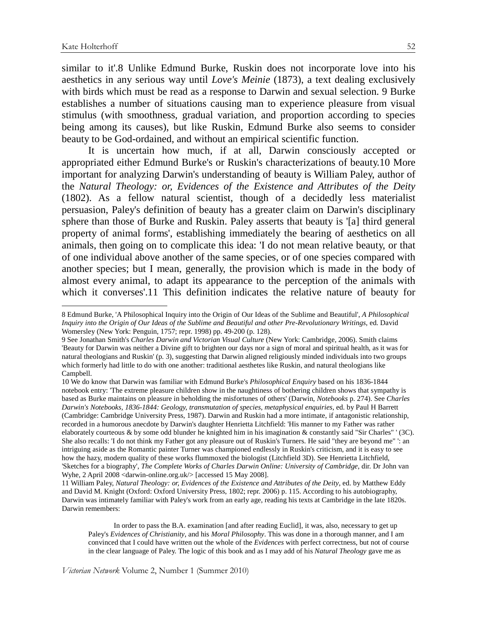$\overline{a}$ 

similar to it'.8 Unlike Edmund Burke, Ruskin does not incorporate love into his aesthetics in any serious way until *Love's Meinie* (1873), a text dealing exclusively with birds which must be read as a response to Darwin and sexual selection. 9 Burke establishes a number of situations causing man to experience pleasure from visual stimulus (with smoothness, gradual variation, and proportion according to species being among its causes), but like Ruskin, Edmund Burke also seems to consider beauty to be God-ordained, and without an empirical scientific function.

It is uncertain how much, if at all, Darwin consciously accepted or appropriated either Edmund Burke's or Ruskin's characterizations of beauty.10 More important for analyzing Darwin's understanding of beauty is William Paley, author of the *Natural Theology: or, Evidences of the Existence and Attributes of the Deity* (1802). As a fellow natural scientist, though of a decidedly less materialist persuasion, Paley's definition of beauty has a greater claim on Darwin's disciplinary sphere than those of Burke and Ruskin. Paley asserts that beauty is '[a] third general property of animal forms', establishing immediately the bearing of aesthetics on all animals, then going on to complicate this idea: 'I do not mean relative beauty, or that of one individual above another of the same species, or of one species compared with another species; but I mean, generally, the provision which is made in the body of almost every animal, to adapt its appearance to the perception of the animals with which it converses'.11 This definition indicates the relative nature of beauty for

10 We do know that Darwin was familiar with Edmund Burke's *Philosophical Enquiry* based on his 1836-1844 notebook entry: 'The extreme pleasure children show in the naughtiness of bothering children shows that sympathy is based as Burke maintains on pleasure in beholding the misfortunes of others' (Darwin, *Notebooks* p. 274). See *Charles Darwin's Notebooks, 1836-1844: Geology, transmutation of species, metaphysical enquiries*, ed. by Paul H Barrett (Cambridge: Cambridge University Press, 1987). Darwin and Ruskin had a more intimate, if antagonistic relationship, recorded in a humorous anecdote by Darwin's daughter Henrietta Litchfield: 'His manner to my Father was rather elaborately courteous & by some odd blunder he knighted him in his imagination & constantly said "Sir Charles" ' (3C). She also recalls: 'I do not think my Father got any pleasure out of Ruskin's Turners. He said "they are beyond me" ': an intriguing aside as the Romantic painter Turner was championed endlessly in Ruskin's criticism, and it is easy to see how the hazy, modern quality of these works flummoxed the biologist (Litchfield 3D). See Henrietta Litchfield, 'Sketches for a biography', *The Complete Works of Charles Darwin Online: University of Cambridge*, dir. Dr John van Wyhe, 2 April 2008 <darwin-online.org.uk/> [accessed 15 May 2008].

11 William Paley, *Natural Theology: or, Evidences of the Existence and Attributes of the Deity*, ed. by Matthew Eddy and David M. Knight (Oxford: Oxford University Press, 1802; repr. 2006) p. 115. According to his autobiography, Darwin was intimately familiar with Paley's work from an early age, reading his texts at Cambridge in the late 1820s. Darwin remembers:

<sup>8</sup> Edmund Burke, 'A Philosophical Inquiry into the Origin of Our Ideas of the Sublime and Beautiful', *A Philosophical Inquiry into the Origin of Our Ideas of the Sublime and Beautiful and other Pre-Revolutionary Writings*, ed. David Womersley (New York: Penguin, 1757; repr. 1998) pp. 49-200 (p. 128).

<sup>9</sup> See Jonathan Smith's *Charles Darwin and Victorian Visual Culture* (New York: Cambridge, 2006). Smith claims 'Beauty for Darwin was neither a Divine gift to brighten our days nor a sign of moral and spiritual health, as it was for natural theologians and Ruskin' (p. 3), suggesting that Darwin aligned religiously minded individuals into two groups which formerly had little to do with one another: traditional aesthetes like Ruskin, and natural theologians like Campbell.

In order to pass the B.A. examination [and after reading Euclid], it was, also, necessary to get up Paley's *Evidences of Christianity*, and his *Moral Philosophy*. This was done in a thorough manner, and I am convinced that I could have written out the whole of the *Evidences* with perfect correctness, but not of course in the clear language of Paley. The logic of this book and as I may add of his *Natural Theology* gave me as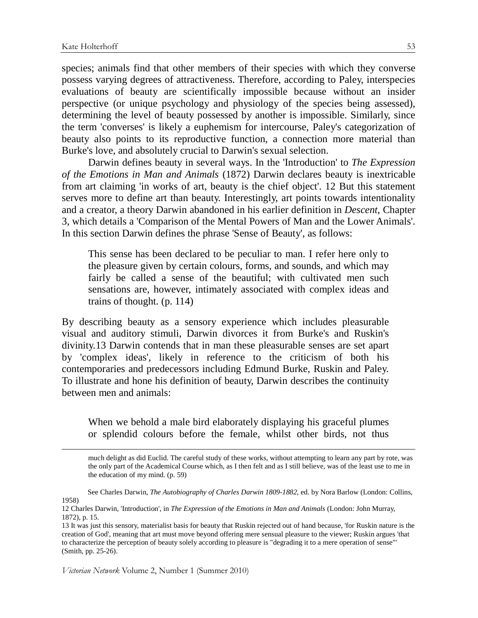$\overline{a}$ 

species; animals find that other members of their species with which they converse possess varying degrees of attractiveness. Therefore, according to Paley, interspecies evaluations of beauty are scientifically impossible because without an insider perspective (or unique psychology and physiology of the species being assessed), determining the level of beauty possessed by another is impossible. Similarly, since the term 'converses' is likely a euphemism for intercourse, Paley's categorization of beauty also points to its reproductive function, a connection more material than Burke's love, and absolutely crucial to Darwin's sexual selection.

Darwin defines beauty in several ways. In the 'Introduction' to *The Expression of the Emotions in Man and Animals* (1872) Darwin declares beauty is inextricable from art claiming 'in works of art, beauty is the chief object'. 12 But this statement serves more to define art than beauty. Interestingly, art points towards intentionality and a creator, a theory Darwin abandoned in his earlier definition in *Descent*, Chapter 3, which details a 'Comparison of the Mental Powers of Man and the Lower Animals'. In this section Darwin defines the phrase 'Sense of Beauty', as follows:

This sense has been declared to be peculiar to man. I refer here only to the pleasure given by certain colours, forms, and sounds, and which may fairly be called a sense of the beautiful; with cultivated men such sensations are, however, intimately associated with complex ideas and trains of thought. (p. 114)

By describing beauty as a sensory experience which includes pleasurable visual and auditory stimuli, Darwin divorces it from Burke's and Ruskin's divinity.13 Darwin contends that in man these pleasurable senses are set apart by 'complex ideas', likely in reference to the criticism of both his contemporaries and predecessors including Edmund Burke, Ruskin and Paley. To illustrate and hone his definition of beauty, Darwin describes the continuity between men and animals:

When we behold a male bird elaborately displaying his graceful plumes or splendid colours before the female, whilst other birds, not thus

much delight as did Euclid. The careful study of these works, without attempting to learn any part by rote, was the only part of the Academical Course which, as I then felt and as I still believe, was of the least use to me in the education of my mind. (p. 59)

 See Charles Darwin, *The Autobiography of Charles Darwin 1809-1882*, ed. by Nora Barlow (London: Collins, 1958)

<sup>12</sup> Charles Darwin, 'Introduction', in *The Expression of the Emotions in Man and Animals* (London: John Murray, 1872), p. 15.

<sup>13</sup> It was just this sensory, materialist basis for beauty that Ruskin rejected out of hand because, 'for Ruskin nature is the creation of God', meaning that art must move beyond offering mere sensual pleasure to the viewer; Ruskin argues 'that to characterize the perception of beauty solely according to pleasure is "degrading it to a mere operation of sense"' (Smith, pp. 25-26).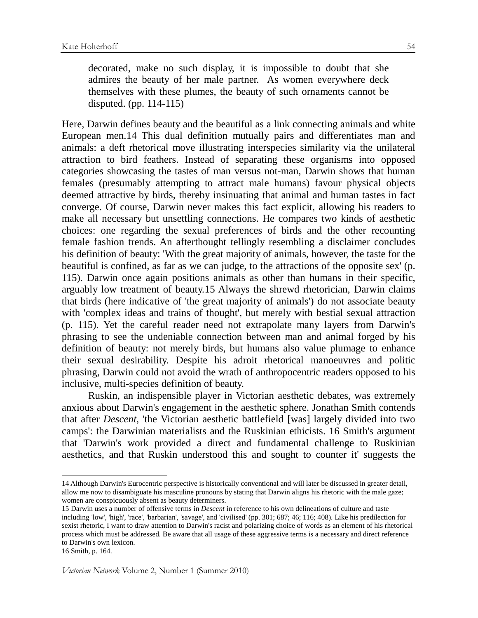decorated, make no such display, it is impossible to doubt that she admires the beauty of her male partner. As women everywhere deck themselves with these plumes, the beauty of such ornaments cannot be disputed. (pp. 114-115)

Here, Darwin defines beauty and the beautiful as a link connecting animals and white European men.14 This dual definition mutually pairs and differentiates man and animals: a deft rhetorical move illustrating interspecies similarity via the unilateral attraction to bird feathers. Instead of separating these organisms into opposed categories showcasing the tastes of man versus not-man, Darwin shows that human females (presumably attempting to attract male humans) favour physical objects deemed attractive by birds, thereby insinuating that animal and human tastes in fact converge. Of course, Darwin never makes this fact explicit, allowing his readers to make all necessary but unsettling connections. He compares two kinds of aesthetic choices: one regarding the sexual preferences of birds and the other recounting female fashion trends. An afterthought tellingly resembling a disclaimer concludes his definition of beauty: 'With the great majority of animals, however, the taste for the beautiful is confined, as far as we can judge, to the attractions of the opposite sex' (p. 115). Darwin once again positions animals as other than humans in their specific, arguably low treatment of beauty.15 Always the shrewd rhetorician, Darwin claims that birds (here indicative of 'the great majority of animals') do not associate beauty with 'complex ideas and trains of thought', but merely with bestial sexual attraction (p. 115). Yet the careful reader need not extrapolate many layers from Darwin's phrasing to see the undeniable connection between man and animal forged by his definition of beauty: not merely birds, but humans also value plumage to enhance their sexual desirability. Despite his adroit rhetorical manoeuvres and politic phrasing, Darwin could not avoid the wrath of anthropocentric readers opposed to his inclusive, multi-species definition of beauty.

Ruskin, an indispensible player in Victorian aesthetic debates, was extremely anxious about Darwin's engagement in the aesthetic sphere. Jonathan Smith contends that after *Descent*, 'the Victorian aesthetic battlefield [was] largely divided into two camps': the Darwinian materialists and the Ruskinian ethicists. 16 Smith's argument that 'Darwin's work provided a direct and fundamental challenge to Ruskinian aesthetics, and that Ruskin understood this and sought to counter it' suggests the

<sup>14</sup> Although Darwin's Eurocentric perspective is historically conventional and will later be discussed in greater detail, allow me now to disambiguate his masculine pronouns by stating that Darwin aligns his rhetoric with the male gaze; women are conspicuously absent as beauty determiners.

<sup>15</sup> Darwin uses a number of offensive terms in *Descent* in reference to his own delineations of culture and taste including 'low', 'high', 'race', 'barbarian', 'savage', and 'civilised' (pp. 301; 687; 46; 116; 408). Like his predilection for sexist rhetoric, I want to draw attention to Darwin's racist and polarizing choice of words as an element of his rhetorical process which must be addressed. Be aware that all usage of these aggressive terms is a necessary and direct reference to Darwin's own lexicon.

<sup>16</sup> Smith, p. 164.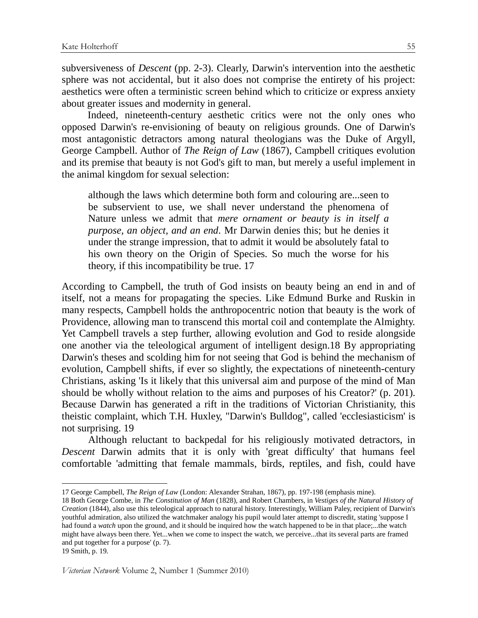subversiveness of *Descent* (pp. 2-3). Clearly, Darwin's intervention into the aesthetic sphere was not accidental, but it also does not comprise the entirety of his project: aesthetics were often a terministic screen behind which to criticize or express anxiety about greater issues and modernity in general.

 Indeed, nineteenth-century aesthetic critics were not the only ones who opposed Darwin's re-envisioning of beauty on religious grounds. One of Darwin's most antagonistic detractors among natural theologians was the Duke of Argyll, George Campbell. Author of *The Reign of Law* (1867), Campbell critiques evolution and its premise that beauty is not God's gift to man, but merely a useful implement in the animal kingdom for sexual selection:

although the laws which determine both form and colouring are...seen to be subservient to use, we shall never understand the phenomena of Nature unless we admit that *mere ornament or beauty is in itself a purpose, an object, and an end*. Mr Darwin denies this; but he denies it under the strange impression, that to admit it would be absolutely fatal to his own theory on the Origin of Species. So much the worse for his theory, if this incompatibility be true. 17

According to Campbell, the truth of God insists on beauty being an end in and of itself, not a means for propagating the species. Like Edmund Burke and Ruskin in many respects, Campbell holds the anthropocentric notion that beauty is the work of Providence, allowing man to transcend this mortal coil and contemplate the Almighty. Yet Campbell travels a step further, allowing evolution and God to reside alongside one another via the teleological argument of intelligent design.18 By appropriating Darwin's theses and scolding him for not seeing that God is behind the mechanism of evolution, Campbell shifts, if ever so slightly, the expectations of nineteenth-century Christians, asking 'Is it likely that this universal aim and purpose of the mind of Man should be wholly without relation to the aims and purposes of his Creator?' (p. 201). Because Darwin has generated a rift in the traditions of Victorian Christianity, this theistic complaint, which T.H. Huxley, "Darwin's Bulldog", called 'ecclesiasticism' is not surprising. 19

Although reluctant to backpedal for his religiously motivated detractors, in *Descent* Darwin admits that it is only with 'great difficulty' that humans feel comfortable 'admitting that female mammals, birds, reptiles, and fish, could have

 $\ddot{\phantom{a}}$ 

<sup>17</sup> George Campbell, *The Reign of Law* (London: Alexander Strahan, 1867), pp. 197-198 (emphasis mine).

<sup>18</sup> Both George Combe, in *The Constitution of Man* (1828), and Robert Chambers, in *Vestiges of the Natural History of Creation* (1844), also use this teleological approach to natural history. Interestingly, William Paley, recipient of Darwin's youthful admiration, also utilized the watchmaker analogy his pupil would later attempt to discredit, stating 'suppose I had found a *watch* upon the ground, and it should be inquired how the watch happened to be in that place;...the watch might have always been there. Yet...when we come to inspect the watch, we perceive...that its several parts are framed and put together for a purpose' (p. 7).

<sup>19</sup> Smith, p. 19.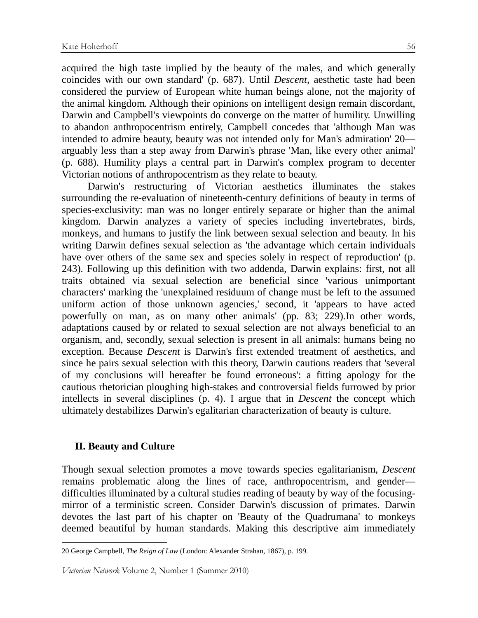acquired the high taste implied by the beauty of the males, and which generally coincides with our own standard' (p. 687). Until *Descent,* aesthetic taste had been considered the purview of European white human beings alone, not the majority of the animal kingdom. Although their opinions on intelligent design remain discordant, Darwin and Campbell's viewpoints do converge on the matter of humility. Unwilling to abandon anthropocentrism entirely, Campbell concedes that 'although Man was intended to admire beauty, beauty was not intended only for Man's admiration' 20 arguably less than a step away from Darwin's phrase 'Man, like every other animal' (p. 688). Humility plays a central part in Darwin's complex program to decenter Victorian notions of anthropocentrism as they relate to beauty.

 Darwin's restructuring of Victorian aesthetics illuminates the stakes surrounding the re-evaluation of nineteenth-century definitions of beauty in terms of species-exclusivity: man was no longer entirely separate or higher than the animal kingdom. Darwin analyzes a variety of species including invertebrates, birds, monkeys, and humans to justify the link between sexual selection and beauty. In his writing Darwin defines sexual selection as 'the advantage which certain individuals have over others of the same sex and species solely in respect of reproduction' (p. 243). Following up this definition with two addenda, Darwin explains: first, not all traits obtained via sexual selection are beneficial since 'various unimportant characters' marking the 'unexplained residuum of change must be left to the assumed uniform action of those unknown agencies,' second, it 'appears to have acted powerfully on man, as on many other animals' (pp. 83; 229).In other words, adaptations caused by or related to sexual selection are not always beneficial to an organism, and, secondly, sexual selection is present in all animals: humans being no exception. Because *Descent* is Darwin's first extended treatment of aesthetics, and since he pairs sexual selection with this theory, Darwin cautions readers that 'several of my conclusions will hereafter be found erroneous': a fitting apology for the cautious rhetorician ploughing high-stakes and controversial fields furrowed by prior intellects in several disciplines (p. 4). I argue that in *Descent* the concept which ultimately destabilizes Darwin's egalitarian characterization of beauty is culture.

### **II. Beauty and Culture**

 $\overline{a}$ 

Though sexual selection promotes a move towards species egalitarianism, *Descent* remains problematic along the lines of race, anthropocentrism, and gender difficulties illuminated by a cultural studies reading of beauty by way of the focusingmirror of a terministic screen. Consider Darwin's discussion of primates. Darwin devotes the last part of his chapter on 'Beauty of the Quadrumana' to monkeys deemed beautiful by human standards. Making this descriptive aim immediately

<sup>20</sup> George Campbell, *The Reign of Law* (London: Alexander Strahan, 1867), p. 199.

Victorian Network Volume 2, Number 1 (Summer 2010)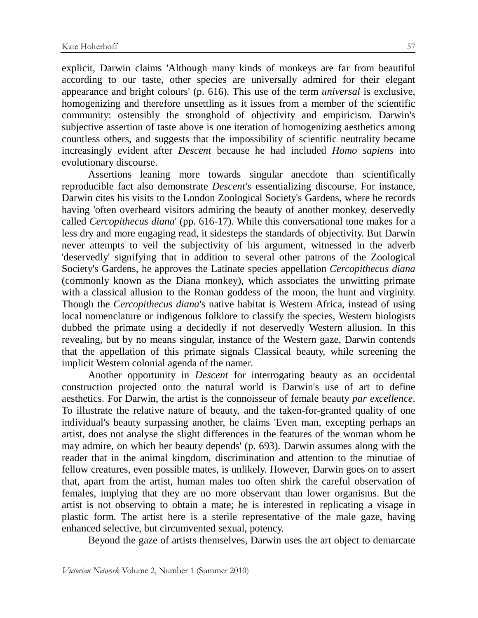explicit, Darwin claims 'Although many kinds of monkeys are far from beautiful according to our taste, other species are universally admired for their elegant appearance and bright colours' (p. 616). This use of the term *universal* is exclusive, homogenizing and therefore unsettling as it issues from a member of the scientific community: ostensibly the stronghold of objectivity and empiricism. Darwin's subjective assertion of taste above is one iteration of homogenizing aesthetics among countless others, and suggests that the impossibility of scientific neutrality became increasingly evident after *Descent* because he had included *Homo sapiens* into evolutionary discourse.

Assertions leaning more towards singular anecdote than scientifically reproducible fact also demonstrate *Descent's* essentializing discourse. For instance, Darwin cites his visits to the London Zoological Society's Gardens, where he records having 'often overheard visitors admiring the beauty of another monkey, deservedly called *Cercopithecus diana*' (pp. 616-17). While this conversational tone makes for a less dry and more engaging read, it sidesteps the standards of objectivity. But Darwin never attempts to veil the subjectivity of his argument, witnessed in the adverb 'deservedly' signifying that in addition to several other patrons of the Zoological Society's Gardens, he approves the Latinate species appellation *Cercopithecus diana* (commonly known as the Diana monkey), which associates the unwitting primate with a classical allusion to the Roman goddess of the moon, the hunt and virginity. Though the *Cercopithecus diana*'s native habitat is Western Africa, instead of using local nomenclature or indigenous folklore to classify the species, Western biologists dubbed the primate using a decidedly if not deservedly Western allusion. In this revealing, but by no means singular, instance of the Western gaze, Darwin contends that the appellation of this primate signals Classical beauty, while screening the implicit Western colonial agenda of the namer.

Another opportunity in *Descent* for interrogating beauty as an occidental construction projected onto the natural world is Darwin's use of art to define aesthetics. For Darwin, the artist is the connoisseur of female beauty *par excellence*. To illustrate the relative nature of beauty, and the taken-for-granted quality of one individual's beauty surpassing another, he claims 'Even man, excepting perhaps an artist, does not analyse the slight differences in the features of the woman whom he may admire, on which her beauty depends' (p. 693). Darwin assumes along with the reader that in the animal kingdom, discrimination and attention to the minutiae of fellow creatures, even possible mates, is unlikely. However, Darwin goes on to assert that, apart from the artist, human males too often shirk the careful observation of females, implying that they are no more observant than lower organisms. But the artist is not observing to obtain a mate; he is interested in replicating a visage in plastic form. The artist here is a sterile representative of the male gaze, having enhanced selective, but circumvented sexual, potency.

Beyond the gaze of artists themselves, Darwin uses the art object to demarcate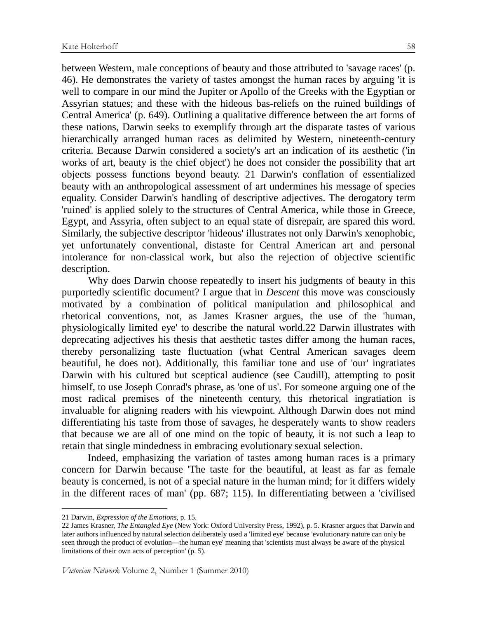between Western, male conceptions of beauty and those attributed to 'savage races' (p. 46). He demonstrates the variety of tastes amongst the human races by arguing 'it is well to compare in our mind the Jupiter or Apollo of the Greeks with the Egyptian or Assyrian statues; and these with the hideous bas-reliefs on the ruined buildings of Central America' (p. 649). Outlining a qualitative difference between the art forms of these nations, Darwin seeks to exemplify through art the disparate tastes of various hierarchically arranged human races as delimited by Western, nineteenth-century criteria. Because Darwin considered a society's art an indication of its aesthetic ('in works of art, beauty is the chief object') he does not consider the possibility that art objects possess functions beyond beauty. 21 Darwin's conflation of essentialized beauty with an anthropological assessment of art undermines his message of species equality. Consider Darwin's handling of descriptive adjectives. The derogatory term 'ruined' is applied solely to the structures of Central America, while those in Greece, Egypt, and Assyria, often subject to an equal state of disrepair, are spared this word. Similarly, the subjective descriptor 'hideous' illustrates not only Darwin's xenophobic, yet unfortunately conventional, distaste for Central American art and personal intolerance for non-classical work, but also the rejection of objective scientific description.

Why does Darwin choose repeatedly to insert his judgments of beauty in this purportedly scientific document? I argue that in *Descent* this move was consciously motivated by a combination of political manipulation and philosophical and rhetorical conventions, not, as James Krasner argues, the use of the 'human, physiologically limited eye' to describe the natural world.22 Darwin illustrates with deprecating adjectives his thesis that aesthetic tastes differ among the human races, thereby personalizing taste fluctuation (what Central American savages deem beautiful, he does not). Additionally, this familiar tone and use of 'our' ingratiates Darwin with his cultured but sceptical audience (see Caudill), attempting to posit himself, to use Joseph Conrad's phrase, as 'one of us'. For someone arguing one of the most radical premises of the nineteenth century, this rhetorical ingratiation is invaluable for aligning readers with his viewpoint. Although Darwin does not mind differentiating his taste from those of savages, he desperately wants to show readers that because we are all of one mind on the topic of beauty, it is not such a leap to retain that single mindedness in embracing evolutionary sexual selection.

 Indeed, emphasizing the variation of tastes among human races is a primary concern for Darwin because 'The taste for the beautiful, at least as far as female beauty is concerned, is not of a special nature in the human mind; for it differs widely in the different races of man' (pp. 687; 115). In differentiating between a 'civilised

<sup>21</sup> Darwin, *Expression of the Emotions*, p. 15.

<sup>22</sup> James Krasner, *The Entangled Eye* (New York: Oxford University Press, 1992), p. 5. Krasner argues that Darwin and later authors influenced by natural selection deliberately used a 'limited eye' because 'evolutionary nature can only be seen through the product of evolution—the human eye' meaning that 'scientists must always be aware of the physical limitations of their own acts of perception' (p. 5).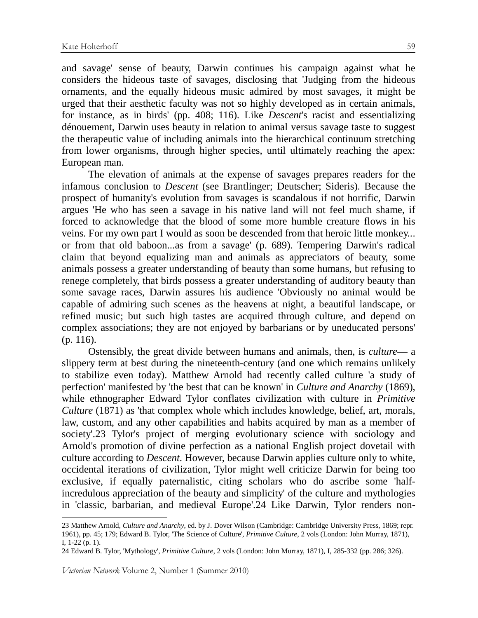and savage' sense of beauty, Darwin continues his campaign against what he considers the hideous taste of savages, disclosing that 'Judging from the hideous ornaments, and the equally hideous music admired by most savages, it might be urged that their aesthetic faculty was not so highly developed as in certain animals, for instance, as in birds' (pp. 408; 116). Like *Descent*'s racist and essentializing dénouement, Darwin uses beauty in relation to animal versus savage taste to suggest the therapeutic value of including animals into the hierarchical continuum stretching from lower organisms, through higher species, until ultimately reaching the apex: European man.

The elevation of animals at the expense of savages prepares readers for the infamous conclusion to *Descent* (see Brantlinger; Deutscher; Sideris). Because the prospect of humanity's evolution from savages is scandalous if not horrific, Darwin argues 'He who has seen a savage in his native land will not feel much shame, if forced to acknowledge that the blood of some more humble creature flows in his veins. For my own part I would as soon be descended from that heroic little monkey... or from that old baboon...as from a savage' (p. 689). Tempering Darwin's radical claim that beyond equalizing man and animals as appreciators of beauty, some animals possess a greater understanding of beauty than some humans, but refusing to renege completely, that birds possess a greater understanding of auditory beauty than some savage races, Darwin assures his audience 'Obviously no animal would be capable of admiring such scenes as the heavens at night, a beautiful landscape, or refined music; but such high tastes are acquired through culture, and depend on complex associations; they are not enjoyed by barbarians or by uneducated persons' (p. 116).

Ostensibly, the great divide between humans and animals, then, is *culture*— a slippery term at best during the nineteenth-century (and one which remains unlikely to stabilize even today). Matthew Arnold had recently called culture 'a study of perfection' manifested by 'the best that can be known' in *Culture and Anarchy* (1869), while ethnographer Edward Tylor conflates civilization with culture in *Primitive Culture* (1871) as 'that complex whole which includes knowledge, belief, art, morals, law, custom, and any other capabilities and habits acquired by man as a member of society'.23 Tylor's project of merging evolutionary science with sociology and Arnold's promotion of divine perfection as a national English project dovetail with culture according to *Descent*. However, because Darwin applies culture only to white, occidental iterations of civilization, Tylor might well criticize Darwin for being too exclusive, if equally paternalistic, citing scholars who do ascribe some 'halfincredulous appreciation of the beauty and simplicity' of the culture and mythologies in 'classic, barbarian, and medieval Europe'.24 Like Darwin, Tylor renders non-

<sup>23</sup> Matthew Arnold, *Culture and Anarchy*, ed. by J. Dover Wilson (Cambridge: Cambridge University Press, 1869; repr. 1961), pp. 45; 179; Edward B. Tylor, 'The Science of Culture', *Primitive Culture*, 2 vols (London: John Murray, 1871), I, 1-22 (p. 1).

<sup>24</sup> Edward B. Tylor, 'Mythology', *Primitive Culture*, 2 vols (London: John Murray, 1871), I, 285-332 (pp. 286; 326).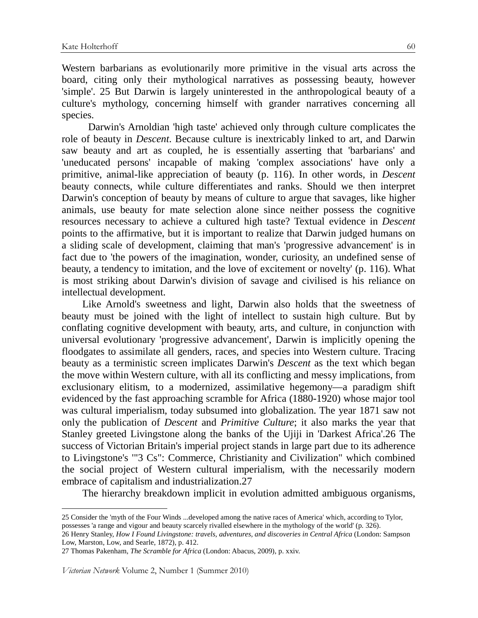Western barbarians as evolutionarily more primitive in the visual arts across the board, citing only their mythological narratives as possessing beauty, however 'simple'. 25 But Darwin is largely uninterested in the anthropological beauty of a culture's mythology, concerning himself with grander narratives concerning all species.

Darwin's Arnoldian 'high taste' achieved only through culture complicates the role of beauty in *Descent*. Because culture is inextricably linked to art, and Darwin saw beauty and art as coupled, he is essentially asserting that 'barbarians' and 'uneducated persons' incapable of making 'complex associations' have only a primitive, animal-like appreciation of beauty (p. 116). In other words, in *Descent* beauty connects, while culture differentiates and ranks. Should we then interpret Darwin's conception of beauty by means of culture to argue that savages, like higher animals, use beauty for mate selection alone since neither possess the cognitive resources necessary to achieve a cultured high taste? Textual evidence in *Descent* points to the affirmative, but it is important to realize that Darwin judged humans on a sliding scale of development, claiming that man's 'progressive advancement' is in fact due to 'the powers of the imagination, wonder, curiosity, an undefined sense of beauty, a tendency to imitation, and the love of excitement or novelty' (p. 116). What is most striking about Darwin's division of savage and civilised is his reliance on intellectual development.

 Like Arnold's sweetness and light, Darwin also holds that the sweetness of beauty must be joined with the light of intellect to sustain high culture. But by conflating cognitive development with beauty, arts, and culture, in conjunction with universal evolutionary 'progressive advancement', Darwin is implicitly opening the floodgates to assimilate all genders, races, and species into Western culture. Tracing beauty as a terministic screen implicates Darwin's *Descent* as the text which began the move within Western culture, with all its conflicting and messy implications, from exclusionary elitism, to a modernized, assimilative hegemony—a paradigm shift evidenced by the fast approaching scramble for Africa (1880-1920) whose major tool was cultural imperialism, today subsumed into globalization. The year 1871 saw not only the publication of *Descent* and *Primitive Culture*; it also marks the year that Stanley greeted Livingstone along the banks of the Ujiji in 'Darkest Africa'.26 The success of Victorian Britain's imperial project stands in large part due to its adherence to Livingstone's '"3 Cs": Commerce, Christianity and Civilization" which combined the social project of Western cultural imperialism, with the necessarily modern embrace of capitalism and industrialization.27

The hierarchy breakdown implicit in evolution admitted ambiguous organisms,

Victorian Network Volume 2, Number 1 (Summer 2010)

<sup>25</sup> Consider the 'myth of the Four Winds ...developed among the native races of America' which, according to Tylor, possesses 'a range and vigour and beauty scarcely rivalled elsewhere in the mythology of the world' (p. 326).

<sup>26</sup> Henry Stanley, *How I Found Livingstone: travels, adventures, and discoveries in Central Africa* (London: Sampson Low, Marston, Low, and Searle, 1872), p. 412.

<sup>27</sup> Thomas Pakenham, *The Scramble for Africa* (London: Abacus, 2009), p. xxiv.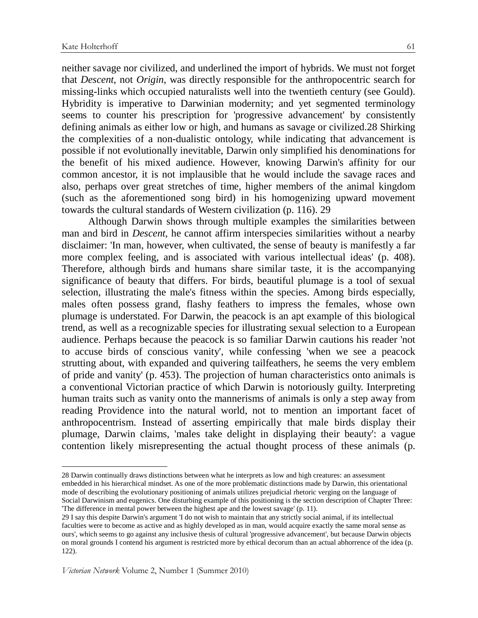$\overline{a}$ 

neither savage nor civilized, and underlined the import of hybrids. We must not forget that *Descent*, not *Origin*, was directly responsible for the anthropocentric search for missing-links which occupied naturalists well into the twentieth century (see Gould). Hybridity is imperative to Darwinian modernity; and yet segmented terminology seems to counter his prescription for 'progressive advancement' by consistently defining animals as either low or high, and humans as savage or civilized.28 Shirking the complexities of a non-dualistic ontology, while indicating that advancement is possible if not evolutionally inevitable, Darwin only simplified his denominations for the benefit of his mixed audience. However, knowing Darwin's affinity for our common ancestor, it is not implausible that he would include the savage races and also, perhaps over great stretches of time, higher members of the animal kingdom (such as the aforementioned song bird) in his homogenizing upward movement towards the cultural standards of Western civilization (p. 116). 29

Although Darwin shows through multiple examples the similarities between man and bird in *Descent*, he cannot affirm interspecies similarities without a nearby disclaimer: 'In man, however, when cultivated, the sense of beauty is manifestly a far more complex feeling, and is associated with various intellectual ideas' (p. 408). Therefore, although birds and humans share similar taste, it is the accompanying significance of beauty that differs. For birds, beautiful plumage is a tool of sexual selection, illustrating the male's fitness within the species. Among birds especially, males often possess grand, flashy feathers to impress the females, whose own plumage is understated. For Darwin, the peacock is an apt example of this biological trend, as well as a recognizable species for illustrating sexual selection to a European audience. Perhaps because the peacock is so familiar Darwin cautions his reader 'not to accuse birds of conscious vanity', while confessing 'when we see a peacock strutting about, with expanded and quivering tailfeathers, he seems the very emblem of pride and vanity' (p. 453). The projection of human characteristics onto animals is a conventional Victorian practice of which Darwin is notoriously guilty. Interpreting human traits such as vanity onto the mannerisms of animals is only a step away from reading Providence into the natural world, not to mention an important facet of anthropocentrism. Instead of asserting empirically that male birds display their plumage, Darwin claims, 'males take delight in displaying their beauty': a vague contention likely misrepresenting the actual thought process of these animals (p.

<sup>28</sup> Darwin continually draws distinctions between what he interprets as low and high creatures: an assessment embedded in his hierarchical mindset. As one of the more problematic distinctions made by Darwin, this orientational mode of describing the evolutionary positioning of animals utilizes prejudicial rhetoric verging on the language of Social Darwinism and eugenics. One disturbing example of this positioning is the section description of Chapter Three: 'The difference in mental power between the highest ape and the lowest savage' (p. 11).

<sup>29</sup> I say this despite Darwin's argument 'I do not wish to maintain that any strictly social animal, if its intellectual faculties were to become as active and as highly developed as in man, would acquire exactly the same moral sense as ours', which seems to go against any inclusive thesis of cultural 'progressive advancement', but because Darwin objects on moral grounds I contend his argument is restricted more by ethical decorum than an actual abhorrence of the idea (p. 122).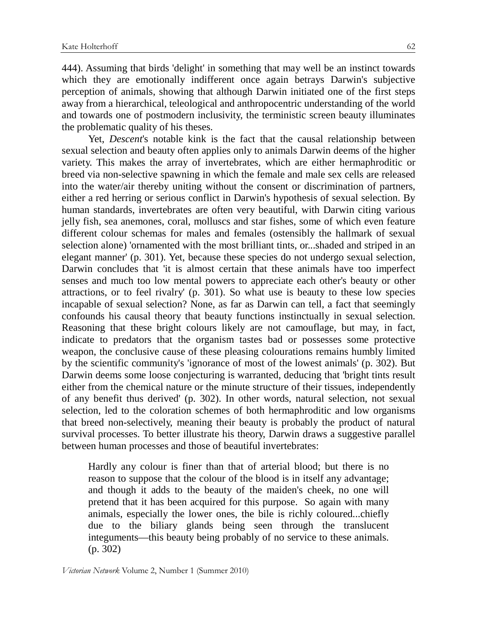444). Assuming that birds 'delight' in something that may well be an instinct towards which they are emotionally indifferent once again betrays Darwin's subjective perception of animals, showing that although Darwin initiated one of the first steps away from a hierarchical, teleological and anthropocentric understanding of the world and towards one of postmodern inclusivity, the terministic screen beauty illuminates the problematic quality of his theses.

Yet, *Descent*'s notable kink is the fact that the causal relationship between sexual selection and beauty often applies only to animals Darwin deems of the higher variety. This makes the array of invertebrates, which are either hermaphroditic or breed via non-selective spawning in which the female and male sex cells are released into the water/air thereby uniting without the consent or discrimination of partners, either a red herring or serious conflict in Darwin's hypothesis of sexual selection. By human standards, invertebrates are often very beautiful, with Darwin citing various jelly fish, sea anemones, coral, molluscs and star fishes, some of which even feature different colour schemas for males and females (ostensibly the hallmark of sexual selection alone) 'ornamented with the most brilliant tints, or...shaded and striped in an elegant manner' (p. 301). Yet, because these species do not undergo sexual selection, Darwin concludes that 'it is almost certain that these animals have too imperfect senses and much too low mental powers to appreciate each other's beauty or other attractions, or to feel rivalry' (p. 301). So what use is beauty to these low species incapable of sexual selection? None, as far as Darwin can tell, a fact that seemingly confounds his causal theory that beauty functions instinctually in sexual selection. Reasoning that these bright colours likely are not camouflage, but may, in fact, indicate to predators that the organism tastes bad or possesses some protective weapon, the conclusive cause of these pleasing colourations remains humbly limited by the scientific community's 'ignorance of most of the lowest animals' (p. 302). But Darwin deems some loose conjecturing is warranted, deducing that 'bright tints result either from the chemical nature or the minute structure of their tissues, independently of any benefit thus derived' (p. 302). In other words, natural selection, not sexual selection, led to the coloration schemes of both hermaphroditic and low organisms that breed non-selectively, meaning their beauty is probably the product of natural survival processes. To better illustrate his theory, Darwin draws a suggestive parallel between human processes and those of beautiful invertebrates:

Hardly any colour is finer than that of arterial blood; but there is no reason to suppose that the colour of the blood is in itself any advantage; and though it adds to the beauty of the maiden's cheek, no one will pretend that it has been acquired for this purpose. So again with many animals, especially the lower ones, the bile is richly coloured...chiefly due to the biliary glands being seen through the translucent integuments—this beauty being probably of no service to these animals. (p. 302)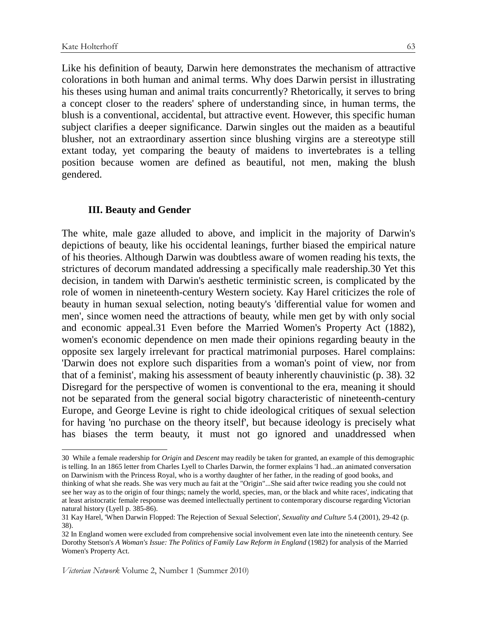$\overline{a}$ 

Like his definition of beauty, Darwin here demonstrates the mechanism of attractive colorations in both human and animal terms. Why does Darwin persist in illustrating his theses using human and animal traits concurrently? Rhetorically, it serves to bring a concept closer to the readers' sphere of understanding since, in human terms, the blush is a conventional, accidental, but attractive event. However, this specific human subject clarifies a deeper significance. Darwin singles out the maiden as a beautiful blusher, not an extraordinary assertion since blushing virgins are a stereotype still extant today, yet comparing the beauty of maidens to invertebrates is a telling position because women are defined as beautiful, not men, making the blush gendered.

# **III. Beauty and Gender**

The white, male gaze alluded to above, and implicit in the majority of Darwin's depictions of beauty, like his occidental leanings, further biased the empirical nature of his theories. Although Darwin was doubtless aware of women reading his texts, the strictures of decorum mandated addressing a specifically male readership.30 Yet this decision, in tandem with Darwin's aesthetic terministic screen, is complicated by the role of women in nineteenth-century Western society. Kay Harel criticizes the role of beauty in human sexual selection, noting beauty's 'differential value for women and men', since women need the attractions of beauty, while men get by with only social and economic appeal.31 Even before the Married Women's Property Act (1882), women's economic dependence on men made their opinions regarding beauty in the opposite sex largely irrelevant for practical matrimonial purposes. Harel complains: 'Darwin does not explore such disparities from a woman's point of view, nor from that of a feminist', making his assessment of beauty inherently chauvinistic (p. 38). 32 Disregard for the perspective of women is conventional to the era, meaning it should not be separated from the general social bigotry characteristic of nineteenth-century Europe, and George Levine is right to chide ideological critiques of sexual selection for having 'no purchase on the theory itself', but because ideology is precisely what has biases the term beauty, it must not go ignored and unaddressed when

<sup>30</sup> While a female readership for *Origin* and *Descent* may readily be taken for granted, an example of this demographic is telling. In an 1865 letter from Charles Lyell to Charles Darwin, the former explains 'I had...an animated conversation on Darwinism with the Princess Royal, who is a worthy daughter of her father, in the reading of good books, and thinking of what she reads. She was very much au fait at the "Origin"...She said after twice reading you she could not see her way as to the origin of four things; namely the world, species, man, or the black and white races', indicating that at least aristocratic female response was deemed intellectually pertinent to contemporary discourse regarding Victorian natural history (Lyell p. 385-86).

<sup>31</sup> Kay Harel, 'When Darwin Flopped: The Rejection of Sexual Selection', *Sexuality and Culture* 5.4 (2001), 29-42 (p. 38).

<sup>32</sup> In England women were excluded from comprehensive social involvement even late into the nineteenth century. See Dorothy Stetson's *A Woman's Issue: The Politics of Family Law Reform in England* (1982) for analysis of the Married Women's Property Act.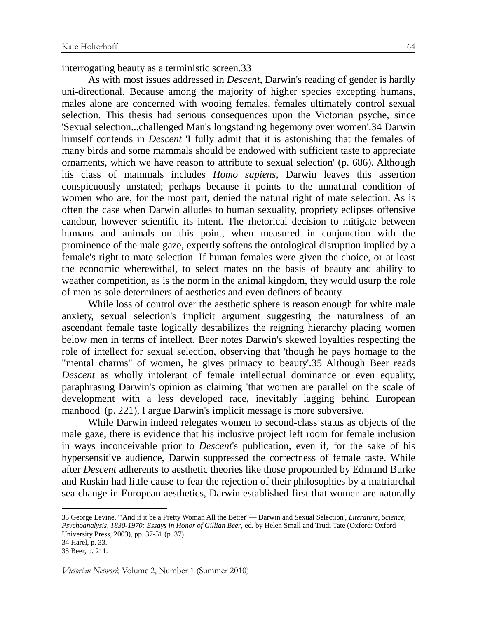interrogating beauty as a terministic screen.33

As with most issues addressed in *Descent*, Darwin's reading of gender is hardly uni-directional. Because among the majority of higher species excepting humans, males alone are concerned with wooing females, females ultimately control sexual selection. This thesis had serious consequences upon the Victorian psyche, since 'Sexual selection...challenged Man's longstanding hegemony over women'.34 Darwin himself contends in *Descent* 'I fully admit that it is astonishing that the females of many birds and some mammals should be endowed with sufficient taste to appreciate ornaments, which we have reason to attribute to sexual selection' (p. 686). Although his class of mammals includes *Homo sapiens*, Darwin leaves this assertion conspicuously unstated; perhaps because it points to the unnatural condition of women who are, for the most part, denied the natural right of mate selection. As is often the case when Darwin alludes to human sexuality, propriety eclipses offensive candour, however scientific its intent. The rhetorical decision to mitigate between humans and animals on this point, when measured in conjunction with the prominence of the male gaze, expertly softens the ontological disruption implied by a female's right to mate selection. If human females were given the choice, or at least the economic wherewithal, to select mates on the basis of beauty and ability to weather competition, as is the norm in the animal kingdom, they would usurp the role of men as sole determiners of aesthetics and even definers of beauty.

While loss of control over the aesthetic sphere is reason enough for white male anxiety, sexual selection's implicit argument suggesting the naturalness of an ascendant female taste logically destabilizes the reigning hierarchy placing women below men in terms of intellect. Beer notes Darwin's skewed loyalties respecting the role of intellect for sexual selection, observing that 'though he pays homage to the "mental charms" of women, he gives primacy to beauty'.35 Although Beer reads *Descent* as wholly intolerant of female intellectual dominance or even equality, paraphrasing Darwin's opinion as claiming 'that women are parallel on the scale of development with a less developed race, inevitably lagging behind European manhood' (p. 221), I argue Darwin's implicit message is more subversive.

While Darwin indeed relegates women to second-class status as objects of the male gaze, there is evidence that his inclusive project left room for female inclusion in ways inconceivable prior to *Descent*'s publication, even if, for the sake of his hypersensitive audience, Darwin suppressed the correctness of female taste. While after *Descent* adherents to aesthetic theories like those propounded by Edmund Burke and Ruskin had little cause to fear the rejection of their philosophies by a matriarchal sea change in European aesthetics, Darwin established first that women are naturally

<sup>33</sup> George Levine, '"And if it be a Pretty Woman All the Better"— Darwin and Sexual Selection', *Literature, Science, Psychoanalysis, 1830-1970: Essays in Honor of Gillian Beer*, ed. by Helen Small and Trudi Tate (Oxford: Oxford University Press, 2003), pp. 37-51 (p. 37).

<sup>34</sup> Harel, p. 33.

<sup>35</sup> Beer, p. 211.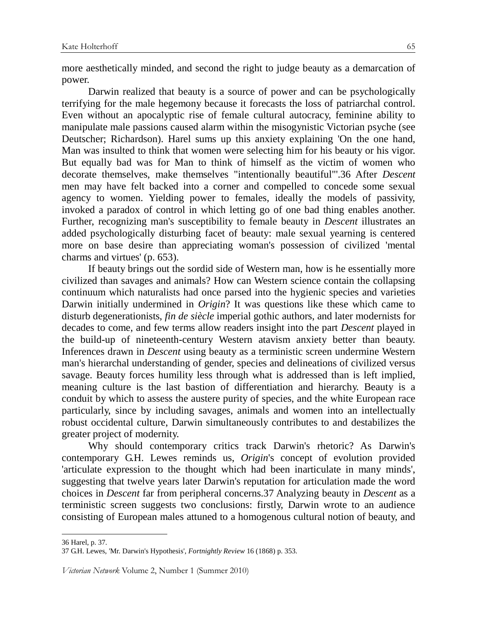more aesthetically minded, and second the right to judge beauty as a demarcation of power.

Darwin realized that beauty is a source of power and can be psychologically terrifying for the male hegemony because it forecasts the loss of patriarchal control. Even without an apocalyptic rise of female cultural autocracy, feminine ability to manipulate male passions caused alarm within the misogynistic Victorian psyche (see Deutscher; Richardson). Harel sums up this anxiety explaining 'On the one hand, Man was insulted to think that women were selecting him for his beauty or his vigor. But equally bad was for Man to think of himself as the victim of women who decorate themselves, make themselves "intentionally beautiful"'.36 After *Descent*  men may have felt backed into a corner and compelled to concede some sexual agency to women. Yielding power to females, ideally the models of passivity, invoked a paradox of control in which letting go of one bad thing enables another. Further, recognizing man's susceptibility to female beauty in *Descent* illustrates an added psychologically disturbing facet of beauty: male sexual yearning is centered more on base desire than appreciating woman's possession of civilized 'mental charms and virtues' (p. 653).

If beauty brings out the sordid side of Western man, how is he essentially more civilized than savages and animals? How can Western science contain the collapsing continuum which naturalists had once parsed into the hygienic species and varieties Darwin initially undermined in *Origin*? It was questions like these which came to disturb degenerationists, *fin de siècle* imperial gothic authors, and later modernists for decades to come, and few terms allow readers insight into the part *Descent* played in the build-up of nineteenth-century Western atavism anxiety better than beauty. Inferences drawn in *Descent* using beauty as a terministic screen undermine Western man's hierarchal understanding of gender, species and delineations of civilized versus savage. Beauty forces humility less through what is addressed than is left implied, meaning culture is the last bastion of differentiation and hierarchy. Beauty is a conduit by which to assess the austere purity of species, and the white European race particularly, since by including savages, animals and women into an intellectually robust occidental culture, Darwin simultaneously contributes to and destabilizes the greater project of modernity.

Why should contemporary critics track Darwin's rhetoric? As Darwin's contemporary G.H. Lewes reminds us, *Origin*'s concept of evolution provided 'articulate expression to the thought which had been inarticulate in many minds', suggesting that twelve years later Darwin's reputation for articulation made the word choices in *Descent* far from peripheral concerns.37 Analyzing beauty in *Descent* as a terministic screen suggests two conclusions: firstly, Darwin wrote to an audience consisting of European males attuned to a homogenous cultural notion of beauty, and

36 Harel, p. 37.

 $\ddot{\phantom{a}}$ 

<sup>37</sup> G.H. Lewes, 'Mr. Darwin's Hypothesis', *Fortnightly Review* 16 (1868) p. 353.

Victorian Network Volume 2, Number 1 (Summer 2010)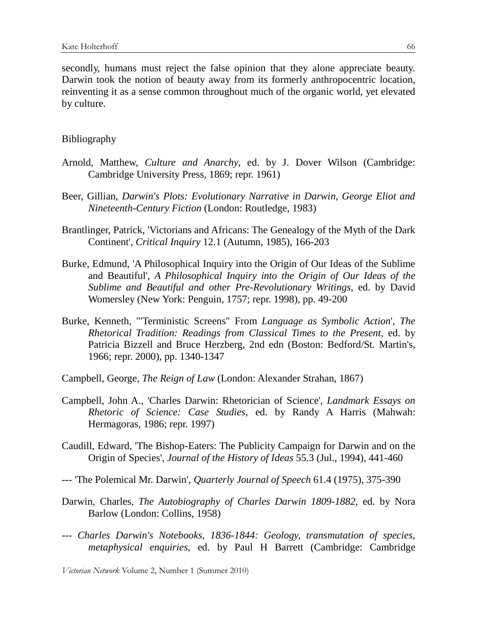secondly, humans must reject the false opinion that they alone appreciate beauty. Darwin took the notion of beauty away from its formerly anthropocentric location, reinventing it as a sense common throughout much of the organic world, yet elevated by culture.

### Bibliography

- Arnold, Matthew, *Culture and Anarchy*, ed. by J. Dover Wilson (Cambridge: Cambridge University Press, 1869; repr. 1961)
- Beer, Gillian, *Darwin's Plots: Evolutionary Narrative in Darwin, George Eliot and Nineteenth-Century Fiction* (London: Routledge, 1983)
- Brantlinger, Patrick, 'Victorians and Africans: The Genealogy of the Myth of the Dark Continent', *Critical Inquiry* 12.1 (Autumn, 1985), 166-203
- Burke, Edmund, 'A Philosophical Inquiry into the Origin of Our Ideas of the Sublime and Beautiful', *A Philosophical Inquiry into the Origin of Our Ideas of the Sublime and Beautiful and other Pre-Revolutionary Writings*, ed. by David Womersley (New York: Penguin, 1757; repr. 1998), pp. 49-200
- Burke, Kenneth, '"Terministic Screens" From *Language as Symbolic Action*', *The Rhetorical Tradition: Readings from Classical Times to the Present*, ed. by Patricia Bizzell and Bruce Herzberg, 2nd edn (Boston: Bedford/St. Martin's, 1966; repr. 2000), pp. 1340-1347
- Campbell, George, *The Reign of Law* (London: Alexander Strahan, 1867)
- Campbell, John A., 'Charles Darwin: Rhetorician of Science', *Landmark Essays on Rhetoric of Science: Case Studies*, ed. by Randy A Harris (Mahwah: Hermagoras, 1986; repr. 1997)
- Caudill, Edward, 'The Bishop-Eaters: The Publicity Campaign for Darwin and on the Origin of Species', *Journal of the History of Ideas* 55.3 (Jul., 1994), 441-460
- --- 'The Polemical Mr. Darwin', *Quarterly Journal of Speech* 61.4 (1975), 375-390
- Darwin, Charles, *The Autobiography of Charles Darwin 1809-1882*, ed. by Nora Barlow (London: Collins, 1958)
- --- *Charles Darwin's Notebooks, 1836-1844: Geology, transmutation of species, metaphysical enquiries,* ed. by Paul H Barrett (Cambridge: Cambridge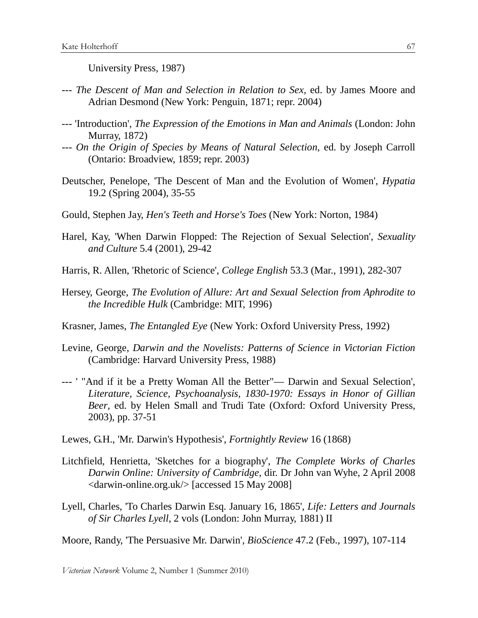University Press, 1987)

- --- *The Descent of Man and Selection in Relation to Sex,* ed. by James Moore and Adrian Desmond (New York: Penguin, 1871; repr. 2004)
- --- 'Introduction', *The Expression of the Emotions in Man and Animals* (London: John Murray, 1872)
- --- *On the Origin of Species by Means of Natural Selection*, ed. by Joseph Carroll (Ontario: Broadview, 1859; repr. 2003)
- Deutscher, Penelope, 'The Descent of Man and the Evolution of Women', *Hypatia*  19.2 (Spring 2004), 35-55
- Gould, Stephen Jay, *Hen's Teeth and Horse's Toes* (New York: Norton, 1984)
- Harel, Kay, 'When Darwin Flopped: The Rejection of Sexual Selection', *Sexuality and Culture* 5.4 (2001), 29-42
- Harris, R. Allen, 'Rhetoric of Science', *College English* 53.3 (Mar., 1991), 282-307
- Hersey, George, *The Evolution of Allure: Art and Sexual Selection from Aphrodite to the Incredible Hulk* (Cambridge: MIT, 1996)

Krasner, James, *The Entangled Eye* (New York: Oxford University Press, 1992)

- Levine, George, *Darwin and the Novelists: Patterns of Science in Victorian Fiction*  (Cambridge: Harvard University Press, 1988)
- --- ' "And if it be a Pretty Woman All the Better"— Darwin and Sexual Selection', *Literature, Science, Psychoanalysis, 1830-1970: Essays in Honor of Gillian Beer*, ed. by Helen Small and Trudi Tate (Oxford: Oxford University Press, 2003), pp. 37-51

Lewes, G.H., 'Mr. Darwin's Hypothesis', *Fortnightly Review* 16 (1868)

- Litchfield, Henrietta, 'Sketches for a biography', *The Complete Works of Charles Darwin Online: University of Cambridge*, dir. Dr John van Wyhe, 2 April 2008 <darwin-online.org.uk/> [accessed 15 May 2008]
- Lyell, Charles, 'To Charles Darwin Esq. January 16, 1865', *Life: Letters and Journals of Sir Charles Lyell*, 2 vols (London: John Murray, 1881) II

Moore, Randy, 'The Persuasive Mr. Darwin', *BioScience* 47.2 (Feb., 1997), 107-114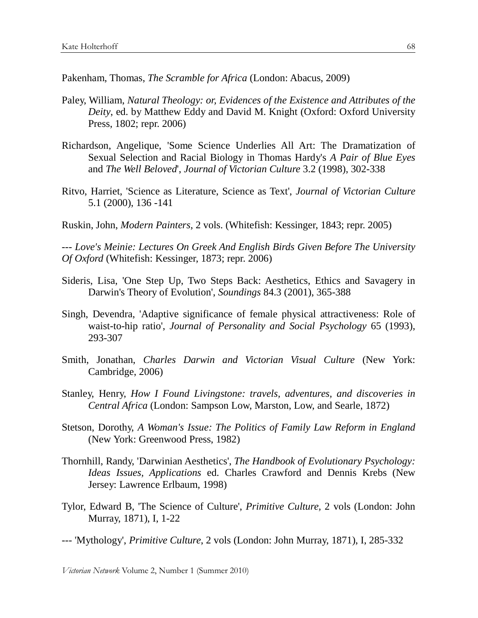Pakenham, Thomas, *The Scramble for Africa* (London: Abacus, 2009)

- Paley, William, *Natural Theology: or, Evidences of the Existence and Attributes of the Deity*, ed. by Matthew Eddy and David M. Knight (Oxford: Oxford University Press, 1802; repr. 2006)
- Richardson, Angelique, 'Some Science Underlies All Art: The Dramatization of Sexual Selection and Racial Biology in Thomas Hardy's *A Pair of Blue Eyes*  and *The Well Beloved*', *Journal of Victorian Culture* 3.2 (1998), 302-338
- Ritvo, Harriet, 'Science as Literature, Science as Text', *Journal of Victorian Culture* 5.1 (2000), 136 -141
- Ruskin, John, *Modern Painters*, 2 vols. (Whitefish: Kessinger, 1843; repr. 2005)

--- *Love's Meinie: Lectures On Greek And English Birds Given Before The University Of Oxford* (Whitefish: Kessinger, 1873; repr. 2006)

- Sideris, Lisa, 'One Step Up, Two Steps Back: Aesthetics, Ethics and Savagery in Darwin's Theory of Evolution', *Soundings* 84.3 (2001), 365-388
- Singh, Devendra, 'Adaptive significance of female physical attractiveness: Role of waist-to-hip ratio', *Journal of Personality and Social Psychology* 65 (1993), 293-307
- Smith, Jonathan, *Charles Darwin and Victorian Visual Culture* (New York: Cambridge, 2006)
- Stanley, Henry, *How I Found Livingstone: travels, adventures, and discoveries in Central Africa* (London: Sampson Low, Marston, Low, and Searle, 1872)
- Stetson, Dorothy, *A Woman's Issue: The Politics of Family Law Reform in England*  (New York: Greenwood Press, 1982)
- Thornhill, Randy, 'Darwinian Aesthetics', *The Handbook of Evolutionary Psychology: Ideas Issues, Applications* ed. Charles Crawford and Dennis Krebs (New Jersey: Lawrence Erlbaum, 1998)
- Tylor, Edward B, 'The Science of Culture', *Primitive Culture,* 2 vols (London: John Murray, 1871), I, 1-22
- --- 'Mythology', *Primitive Culture*, 2 vols (London: John Murray, 1871), I, 285-332